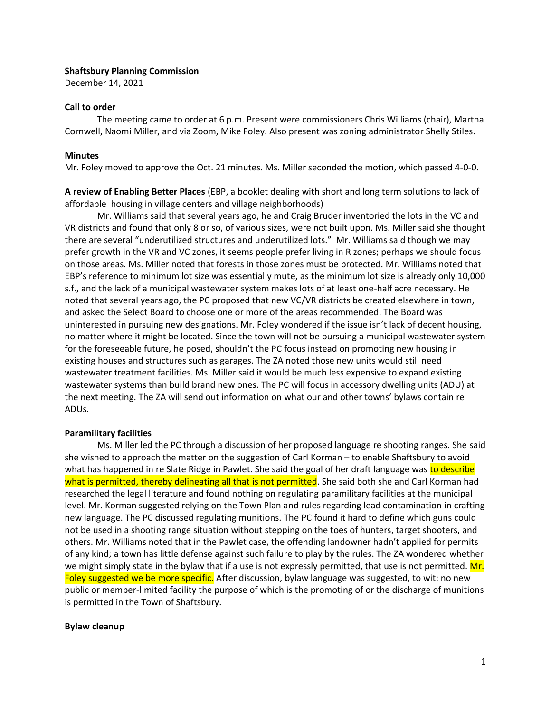## **Shaftsbury Planning Commission**

December 14, 2021

### **Call to order**

The meeting came to order at 6 p.m. Present were commissioners Chris Williams (chair), Martha Cornwell, Naomi Miller, and via Zoom, Mike Foley. Also present was zoning administrator Shelly Stiles.

### **Minutes**

Mr. Foley moved to approve the Oct. 21 minutes. Ms. Miller seconded the motion, which passed 4-0-0.

**A review of Enabling Better Places** (EBP, a booklet dealing with short and long term solutions to lack of affordable housing in village centers and village neighborhoods)

Mr. Williams said that several years ago, he and Craig Bruder inventoried the lots in the VC and VR districts and found that only 8 or so, of various sizes, were not built upon. Ms. Miller said she thought there are several "underutilized structures and underutilized lots." Mr. Williams said though we may prefer growth in the VR and VC zones, it seems people prefer living in R zones; perhaps we should focus on those areas. Ms. Miller noted that forests in those zones must be protected. Mr. Williams noted that EBP's reference to minimum lot size was essentially mute, as the minimum lot size is already only 10,000 s.f., and the lack of a municipal wastewater system makes lots of at least one-half acre necessary. He noted that several years ago, the PC proposed that new VC/VR districts be created elsewhere in town, and asked the Select Board to choose one or more of the areas recommended. The Board was uninterested in pursuing new designations. Mr. Foley wondered if the issue isn't lack of decent housing, no matter where it might be located. Since the town will not be pursuing a municipal wastewater system for the foreseeable future, he posed, shouldn't the PC focus instead on promoting new housing in existing houses and structures such as garages. The ZA noted those new units would still need wastewater treatment facilities. Ms. Miller said it would be much less expensive to expand existing wastewater systems than build brand new ones. The PC will focus in accessory dwelling units (ADU) at the next meeting. The ZA will send out information on what our and other towns' bylaws contain re ADUs.

## **Paramilitary facilities**

Ms. Miller led the PC through a discussion of her proposed language re shooting ranges. She said she wished to approach the matter on the suggestion of Carl Korman – to enable Shaftsbury to avoid what has happened in re Slate Ridge in Pawlet. She said the goal of her draft language was to describe what is permitted, thereby delineating all that is not permitted. She said both she and Carl Korman had researched the legal literature and found nothing on regulating paramilitary facilities at the municipal level. Mr. Korman suggested relying on the Town Plan and rules regarding lead contamination in crafting new language. The PC discussed regulating munitions. The PC found it hard to define which guns could not be used in a shooting range situation without stepping on the toes of hunters, target shooters, and others. Mr. Williams noted that in the Pawlet case, the offending landowner hadn't applied for permits of any kind; a town has little defense against such failure to play by the rules. The ZA wondered whether we might simply state in the bylaw that if a use is not expressly permitted, that use is not permitted. Mr. Foley suggested we be more specific. After discussion, bylaw language was suggested, to wit: no new public or member-limited facility the purpose of which is the promoting of or the discharge of munitions is permitted in the Town of Shaftsbury.

#### **Bylaw cleanup**